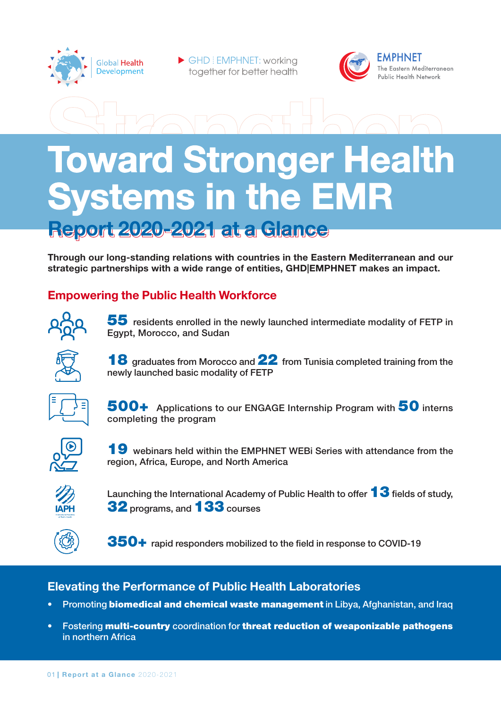

GHD: EMPHNET: working together for better health



# **Toward Stronger Health Systems in the EMR**

Report 2020-2021 at a Glance

Through our long-standing relations with countries in the Eastern Mediterranean and our strategic partnerships with a wide range of entities, GHD|EMPHNET makes an impact.

# **Empowering the Public Health Workforce**



 $55$  residents enrolled in the newly launched intermediate modality of FETP in Egypt, Morocco, and Sudan



18 graduates from Morocco and 22 from Tunisia completed training from the newly launched basic modality of FETP



500+ Applications to our ENGAGE Internship Program with 50 interns completing the program



19 webinars held within the EMPHNET WEBi Series with attendance from the region, Africa, Europe, and North America



Launching the International Academy of Public Health to offer  $13$  fields of study. 32 programs, and 133 courses



 $350+$  rapid responders mobilized to the field in response to COVID-19

# **Elevating the Performance of Public Health Laboratories**

- Promoting **biomedical and chemical waste management** in Libya, Afghanistan, and Iraq
- Fostering multi-country coordination for threat reduction of weaponizable pathogens in northern Africa